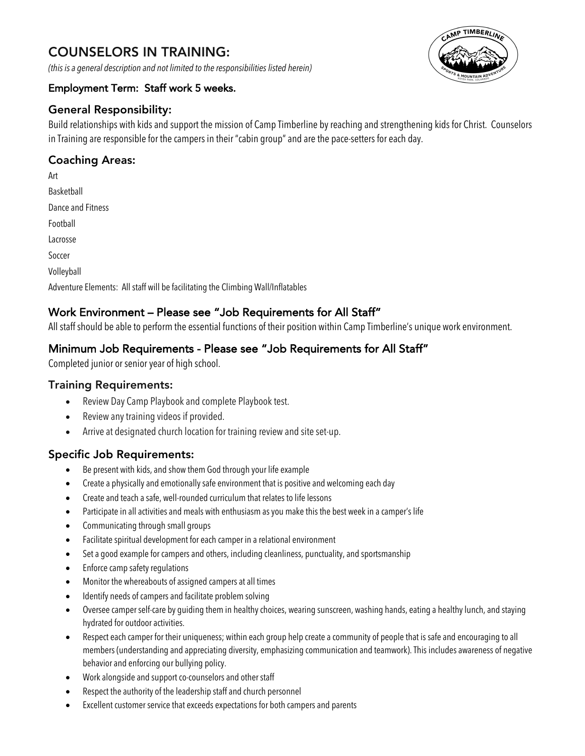# COUNSELORS IN TRAINING:

*(this is a general description and not limited to the responsibilities listed herein)*

#### Employment Term: Staff work 5 weeks.

# General Responsibility:

Build relationships with kids and support the mission of Camp Timberline by reaching and strengthening kids for Christ. Counselors in Training are responsible for the campers in their "cabin group" and are the pace-setters for each day.

# Coaching Areas:

Art Basketball Dance and Fitness Football Lacrosse Soccer Volleyball Adventure Elements: All staff will be facilitating the Climbing Wall/Inflatables

# Work Environment – Please see "Job Requirements for All Staff"

All staff should be able to perform the essential functions of their position within Camp Timberline's unique work environment.

# Minimum Job Requirements - Please see "Job Requirements for All Staff"

Completed junior or senior year of high school.

#### Training Requirements:

- Review Day Camp Playbook and complete Playbook test.
- Review any training videos if provided.
- Arrive at designated church location for training review and site set-up.

#### Specific Job Requirements:

- Be present with kids, and show them God through your life example
- Create a physically and emotionally safe environment that is positive and welcoming each day
- Create and teach a safe, well-rounded curriculum that relates to life lessons
- Participate in all activities and meals with enthusiasm as you make this the best week in a camper's life
- Communicating through small groups
- Facilitate spiritual development for each camper in a relational environment
- Set a good example for campers and others, including cleanliness, punctuality, and sportsmanship
- Enforce camp safety regulations
- Monitor the whereabouts of assigned campers at all times
- Identify needs of campers and facilitate problem solving
- Oversee camper self-care by guiding them in healthy choices, wearing sunscreen, washing hands, eating a healthy lunch, and staying hydrated for outdoor activities.
- Respect each camper for their uniqueness; within each group help create a community of people that is safe and encouraging to all members (understanding and appreciating diversity, emphasizing communication and teamwork). This includes awareness of negative behavior and enforcing our bullying policy.
- Work alongside and support co-counselors and other staff
- Respect the authority of the leadership staff and church personnel
- Excellent customer service that exceeds expectations for both campers and parents

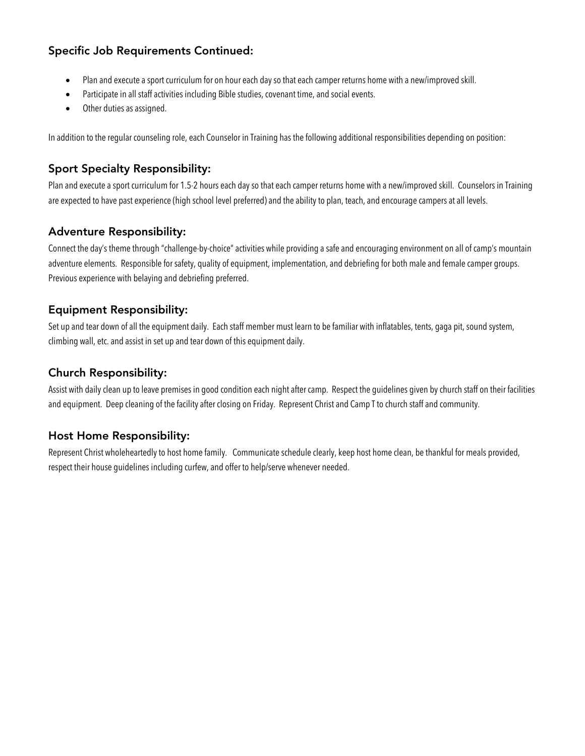#### Specific Job Requirements Continued:

- Plan and execute a sport curriculum for on hour each day so that each camper returns home with a new/improved skill.
- Participate in all staff activities including Bible studies, covenant time, and social events.
- Other duties as assigned.

In addition to the regular counseling role, each Counselor in Training has the following additional responsibilities depending on position:

# Sport Specialty Responsibility:

Plan and execute a sport curriculum for 1.5-2 hours each day so that each camper returns home with a new/improved skill. Counselors in Training are expected to have past experience (high school level preferred) and the ability to plan, teach, and encourage campers at all levels.

#### Adventure Responsibility:

Connect the day's theme through "challenge-by-choice" activities while providing a safe and encouraging environment on all of camp's mountain adventure elements. Responsible for safety, quality of equipment, implementation, and debriefing for both male and female camper groups. Previous experience with belaying and debriefing preferred.

### Equipment Responsibility:

Set up and tear down of all the equipment daily. Each staff member must learn to be familiar with inflatables, tents, gaga pit, sound system, climbing wall, etc. and assist in set up and tear down of this equipment daily.

### Church Responsibility:

Assist with daily clean up to leave premises in good condition each night after camp. Respect the guidelines given by church staff on their facilities and equipment. Deep cleaning of the facility after closing on Friday. Represent Christ and Camp T to church staff and community.

# Host Home Responsibility:

Represent Christ wholeheartedly to host home family. Communicate schedule clearly, keep host home clean, be thankful for meals provided, respect their house guidelines including curfew, and offer to help/serve whenever needed.